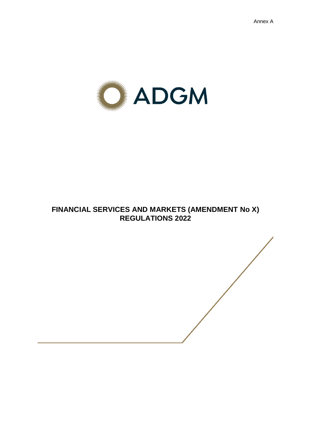

# **FINANCIAL SERVICES AND MARKETS (AMENDMENT No X) REGULATIONS 2022**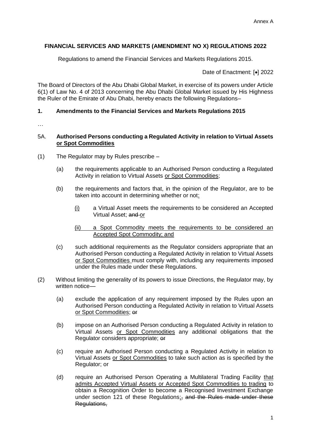# **FINANCIAL SERVICES AND MARKETS (AMENDMENT NO X) REGULATIONS 2022**

Regulations to amend the Financial Services and Markets Regulations 2015.

Date of Enactment: [•] 2022

The Board of Directors of the Abu Dhabi Global Market, in exercise of its powers under Article 6(1) of Law No. 4 of 2013 concerning the Abu Dhabi Global Market issued by His Highness the Ruler of the Emirate of Abu Dhabi, hereby enacts the following Regulations–

## **1. Amendments to the Financial Services and Markets Regulations 2015**

…

## 5A. **Authorised Persons conducting a Regulated Activity in relation to Virtual Assets or Spot Commodities**

- (1) The Regulator may by Rules prescribe
	- (a) the requirements applicable to an Authorised Person conducting a Regulated Activity in relation to Virtual Assets or Spot Commodities;
	- (b) the requirements and factors that, in the opinion of the Regulator, are to be taken into account in determining whether or not:
		- (i) a Virtual Asset meets the requirements to be considered an Accepted Virtual Asset: and or
		- (ii) a Spot Commodity meets the requirements to be considered an Accepted Spot Commodity; and
	- (c) such additional requirements as the Regulator considers appropriate that an Authorised Person conducting a Regulated Activity in relation to Virtual Assets or Spot Commodities must comply with, including any requirements imposed under the Rules made under these Regulations.
- (2) Without limiting the generality of its powers to issue Directions, the Regulator may, by written notice—
	- (a) exclude the application of any requirement imposed by the Rules upon an Authorised Person conducting a Regulated Activity in relation to Virtual Assets or Spot Commodities; or
	- (b) impose on an Authorised Person conducting a Regulated Activity in relation to Virtual Assets or Spot Commodities any additional obligations that the Regulator considers appropriate; or
	- (c) require an Authorised Person conducting a Regulated Activity in relation to Virtual Assets or Spot Commodities to take such action as is specified by the Regulator; or
	- (d) require an Authorised Person Operating a Multilateral Trading Facility that admits Accepted Virtual Assets or Accepted Spot Commodities to trading to obtain a Recognition Order to become a Recognised Investment Exchange under section 121 of these Regulations; and the Rules made under these Regulations.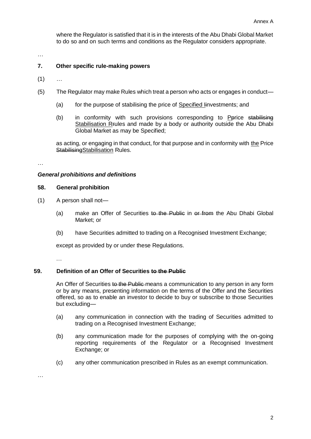where the Regulator is satisfied that it is in the interests of the Abu Dhabi Global Market to do so and on such terms and conditions as the Regulator considers appropriate.

…

## **7. Other specific rule-making powers**

- $(1)$  ...
- (5) The Regulator may make Rules which treat a person who acts or engages in conduct—
	- (a) for the purpose of stabilising the price of Specified Iinvestments; and
	- (b) in conformity with such provisions corresponding to Pprice stabilising Stabilisation Rrules and made by a body or authority outside the Abu Dhabi Global Market as may be Specified;

as acting, or engaging in that conduct, for that purpose and in conformity with the Price StabilisingStabilisation Rules.

…

#### *General prohibitions and definitions*

#### **58. General prohibition**

- (1) A person shall not—
	- (a) make an Offer of Securities to the Public in or from the Abu Dhabi Global Market; or
	- (b) have Securities admitted to trading on a Recognised Investment Exchange;

except as provided by or under these Regulations.

…

## **59. Definition of an Offer of Securities to the Public**

An Offer of Securities to the Public means a communication to any person in any form or by any means, presenting information on the terms of the Offer and the Securities offered, so as to enable an investor to decide to buy or subscribe to those Securities but excluding—

- (a) any communication in connection with the trading of Securities admitted to trading on a Recognised Investment Exchange;
- (b) any communication made for the purposes of complying with the on-going reporting requirements of the Regulator or a Recognised Investment Exchange; or
- (c) any other communication prescribed in Rules as an exempt communication.

…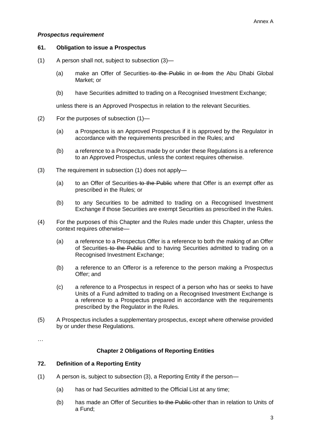## *Prospectus requirement*

## **61. Obligation to issue a Prospectus**

- (1) A person shall not, subject to subsection (3)—
	- (a) make an Offer of Securities to the Public in or from the Abu Dhabi Global Market; or
	- (b) have Securities admitted to trading on a Recognised Investment Exchange;

unless there is an Approved Prospectus in relation to the relevant Securities.

- (2) For the purposes of subsection (1)—
	- (a) a Prospectus is an Approved Prospectus if it is approved by the Regulator in accordance with the requirements prescribed in the Rules; and
	- (b) a reference to a Prospectus made by or under these Regulations is a reference to an Approved Prospectus, unless the context requires otherwise.
- (3) The requirement in subsection (1) does not apply—
	- (a) to an Offer of Securities to the Public where that Offer is an exempt offer as prescribed in the Rules; or
	- (b) to any Securities to be admitted to trading on a Recognised Investment Exchange if those Securities are exempt Securities as prescribed in the Rules.
- (4) For the purposes of this Chapter and the Rules made under this Chapter, unless the context requires otherwise—
	- (a) a reference to a Prospectus Offer is a reference to both the making of an Offer of Securities to the Public and to having Securities admitted to trading on a Recognised Investment Exchange;
	- (b) a reference to an Offeror is a reference to the person making a Prospectus Offer; and
	- (c) a reference to a Prospectus in respect of a person who has or seeks to have Units of a Fund admitted to trading on a Recognised Investment Exchange is a reference to a Prospectus prepared in accordance with the requirements prescribed by the Regulator in the Rules.
- (5) A Prospectus includes a supplementary prospectus, except where otherwise provided by or under these Regulations.

…

## **Chapter 2 Obligations of Reporting Entities**

## **72. Definition of a Reporting Entity**

- (1) A person is, subject to subsection (3), a Reporting Entity if the person—
	- (a) has or had Securities admitted to the Official List at any time;
	- (b) has made an Offer of Securities to the Public other than in relation to Units of a Fund;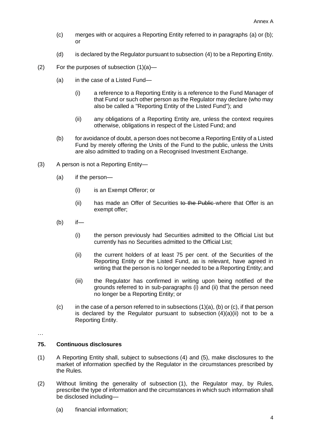- (c) merges with or acquires a Reporting Entity referred to in paragraphs (a) or (b); or
- (d) is declared by the Regulator pursuant to subsection (4) to be a Reporting Entity.
- (2) For the purposes of subsection (1)(a)—
	- (a) in the case of a Listed Fund—
		- (i) a reference to a Reporting Entity is a reference to the Fund Manager of that Fund or such other person as the Regulator may declare (who may also be called a "Reporting Entity of the Listed Fund"); and
		- (ii) any obligations of a Reporting Entity are, unless the context requires otherwise, obligations in respect of the Listed Fund; and
	- (b) for avoidance of doubt, a person does not become a Reporting Entity of a Listed Fund by merely offering the Units of the Fund to the public, unless the Units are also admitted to trading on a Recognised Investment Exchange.
- (3) A person is not a Reporting Entity—
	- (a) if the person—
		- (i) is an Exempt Offeror; or
		- (ii) has made an Offer of Securities to the Public where that Offer is an exempt offer;
	- (b) if—
		- (i) the person previously had Securities admitted to the Official List but currently has no Securities admitted to the Official List;
		- (ii) the current holders of at least 75 per cent. of the Securities of the Reporting Entity or the Listed Fund, as is relevant, have agreed in writing that the person is no longer needed to be a Reporting Entity; and
		- (iii) the Regulator has confirmed in writing upon being notified of the grounds referred to in sub-paragraphs (i) and (ii) that the person need no longer be a Reporting Entity; or
	- $(c)$  in the case of a person referred to in subsections  $(1)(a)$ ,  $(b)$  or  $(c)$ , if that person is declared by the Regulator pursuant to subsection  $(4)(a)(ii)$  not to be a Reporting Entity.

…

#### **75. Continuous disclosures**

- (1) A Reporting Entity shall, subject to subsections (4) and (5), make disclosures to the market of information specified by the Regulator in the circumstances prescribed by the Rules.
- (2) Without limiting the generality of subsection (1), the Regulator may, by Rules, prescribe the type of information and the circumstances in which such information shall be disclosed including—
	- (a) financial information;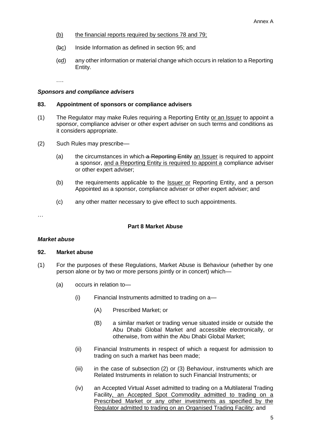- (b) the financial reports required by sections 78 and 79;
- (bc) Inside Information as defined in section 95; and
- (cd) any other information or material change which occurs in relation to a Reporting Entity.

….

#### *Sponsors and compliance advisers*

#### **83. Appointment of sponsors or compliance advisers**

- (1) The Regulator may make Rules requiring a Reporting Entity or an Issuer to appoint a sponsor, compliance adviser or other expert adviser on such terms and conditions as it considers appropriate.
- (2) Such Rules may prescribe—
	- (a) the circumstances in which  $a$  Reporting Entity an Issuer is required to appoint a sponsor, and a Reporting Entity is required to appoint a compliance adviser or other expert adviser;
	- (b) the requirements applicable to the Issuer or Reporting Entity, and a person Appointed as a sponsor, compliance adviser or other expert adviser; and
	- (c) any other matter necessary to give effect to such appointments.

…

## **Part 8 Market Abuse**

#### *Market abuse*

#### **92. Market abuse**

- (1) For the purposes of these Regulations, Market Abuse is Behaviour (whether by one person alone or by two or more persons jointly or in concert) which—
	- (a) occurs in relation to—
		- (i) Financial Instruments admitted to trading on a—
			- (A) Prescribed Market; or
			- (B) a similar market or trading venue situated inside or outside the Abu Dhabi Global Market and accessible electronically, or otherwise, from within the Abu Dhabi Global Market;
		- (ii) Financial Instruments in respect of which a request for admission to trading on such a market has been made;
		- (iii) in the case of subsection (2) or (3) Behaviour, instruments which are Related Instruments in relation to such Financial Instruments; or
		- (iv) an Accepted Virtual Asset admitted to trading on a Multilateral Trading Facility, an Accepted Spot Commodity admitted to trading on a Prescribed Market or any other investments as specified by the Regulator admitted to trading on an Organised Trading Facility; and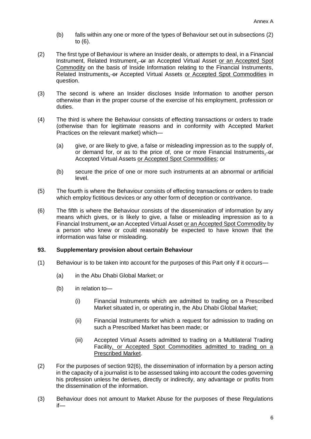- (b) falls within any one or more of the types of Behaviour set out in subsections (2) to (6).
- (2) The first type of Behaviour is where an Insider deals, or attempts to deal, in a Financial Instrument, Related Instrument, or an Accepted Virtual Asset or an Accepted Spot Commodity on the basis of Inside Information relating to the Financial Instruments, Related Instruments, or Accepted Virtual Assets or Accepted Spot Commodities in question.
- (3) The second is where an Insider discloses Inside Information to another person otherwise than in the proper course of the exercise of his employment, profession or duties.
- (4) The third is where the Behaviour consists of effecting transactions or orders to trade (otherwise than for legitimate reasons and in conformity with Accepted Market Practices on the relevant market) which—
	- (a) give, or are likely to give, a false or misleading impression as to the supply of, or demand for, or as to the price of, one or more Financial Instruments, or Accepted Virtual Assets or Accepted Spot Commodities; or
	- (b) secure the price of one or more such instruments at an abnormal or artificial level.
- (5) The fourth is where the Behaviour consists of effecting transactions or orders to trade which employ fictitious devices or any other form of deception or contrivance.
- (6) The fifth is where the Behaviour consists of the dissemination of information by any means which gives, or is likely to give, a false or misleading impression as to a Financial Instrument, or an Accepted Virtual Asset or an Accepted Spot Commodity by a person who knew or could reasonably be expected to have known that the information was false or misleading.

## **93. Supplementary provision about certain Behaviour**

- (1) Behaviour is to be taken into account for the purposes of this Part only if it occurs—
	- (a) in the Abu Dhabi Global Market; or
	- (b) in relation to—
		- (i) Financial Instruments which are admitted to trading on a Prescribed Market situated in, or operating in, the Abu Dhabi Global Market;
		- (ii) Financial Instruments for which a request for admission to trading on such a Prescribed Market has been made; or
		- (iii) Accepted Virtual Assets admitted to trading on a Multilateral Trading Facility, or Accepted Spot Commodities admitted to trading on a Prescribed Market.
- (2) For the purposes of section 92(6), the dissemination of information by a person acting in the capacity of a journalist is to be assessed taking into account the codes governing his profession unless he derives, directly or indirectly, any advantage or profits from the dissemination of the information.
- (3) Behaviour does not amount to Market Abuse for the purposes of these Regulations if—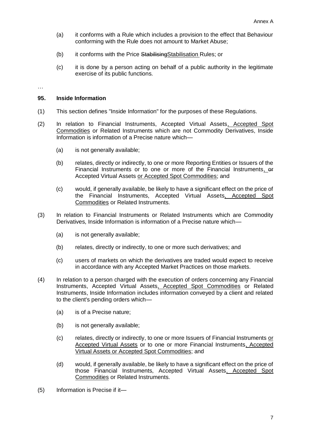- (a) it conforms with a Rule which includes a provision to the effect that Behaviour conforming with the Rule does not amount to Market Abuse;
- (b) it conforms with the Price StabilisingStabilisation Rules; or
- (c) it is done by a person acting on behalf of a public authority in the legitimate exercise of its public functions.
- …

#### **95. Inside Information**

- (1) This section defines "Inside Information" for the purposes of these Regulations.
- (2) In relation to Financial Instruments, Accepted Virtual Assets, Accepted Spot Commodities or Related Instruments which are not Commodity Derivatives, Inside Information is information of a Precise nature which—
	- (a) is not generally available;
	- (b) relates, directly or indirectly, to one or more Reporting Entities or Issuers of the Financial Instruments or to one or more of the Financial Instruments, or Accepted Virtual Assets or Accepted Spot Commodities; and
	- (c) would, if generally available, be likely to have a significant effect on the price of the Financial Instruments, Accepted Virtual Assets, Accepted Spot Commodities or Related Instruments.
- (3) In relation to Financial Instruments or Related Instruments which are Commodity Derivatives, Inside Information is information of a Precise nature which—
	- (a) is not generally available;
	- (b) relates, directly or indirectly, to one or more such derivatives; and
	- (c) users of markets on which the derivatives are traded would expect to receive in accordance with any Accepted Market Practices on those markets.
- (4) In relation to a person charged with the execution of orders concerning any Financial Instruments, Accepted Virtual Assets, Accepted Spot Commodities or Related Instruments, Inside Information includes information conveyed by a client and related to the client's pending orders which—
	- (a) is of a Precise nature;
	- (b) is not generally available;
	- (c) relates, directly or indirectly, to one or more Issuers of Financial Instruments or Accepted Virtual Assets or to one or more Financial Instruments, Accepted Virtual Assets or Accepted Spot Commodities; and
	- (d) would, if generally available, be likely to have a significant effect on the price of those Financial Instruments, Accepted Virtual Assets, Accepted Spot Commodities or Related Instruments.
- (5) Information is Precise if it—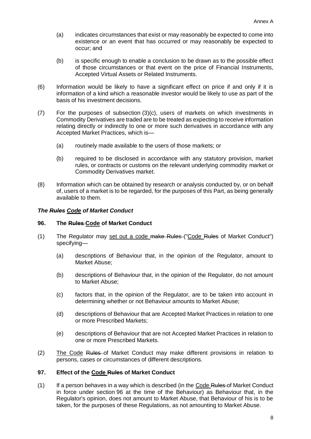- (a) indicates circumstances that exist or may reasonably be expected to come into existence or an event that has occurred or may reasonably be expected to occur; and
- (b) is specific enough to enable a conclusion to be drawn as to the possible effect of those circumstances or that event on the price of Financial Instruments, Accepted Virtual Assets or Related Instruments.
- (6) Information would be likely to have a significant effect on price if and only if it is information of a kind which a reasonable investor would be likely to use as part of the basis of his investment decisions.
- (7) For the purposes of subsection (3)(c), users of markets on which investments in Commodity Derivatives are traded are to be treated as expecting to receive information relating directly or indirectly to one or more such derivatives in accordance with any Accepted Market Practices, which is—
	- (a) routinely made available to the users of those markets; or
	- (b) required to be disclosed in accordance with any statutory provision, market rules, or contracts or customs on the relevant underlying commodity market or Commodity Derivatives market.
- (8) Information which can be obtained by research or analysis conducted by, or on behalf of, users of a market is to be regarded, for the purposes of this Part, as being generally available to them.

## *The Rules Code of Market Conduct*

#### **96. The Rules Code of Market Conduct**

- (1) The Regulator may set out a code make Rules ("Code Rules of Market Conduct") specifying—
	- (a) descriptions of Behaviour that, in the opinion of the Regulator, amount to Market Abuse;
	- (b) descriptions of Behaviour that, in the opinion of the Regulator, do not amount to Market Abuse;
	- (c) factors that, in the opinion of the Regulator, are to be taken into account in determining whether or not Behaviour amounts to Market Abuse;
	- (d) descriptions of Behaviour that are Accepted Market Practices in relation to one or more Prescribed Markets;
	- (e) descriptions of Behaviour that are not Accepted Market Practices in relation to one or more Prescribed Markets.
- (2) The Code Rules of Market Conduct may make different provisions in relation to persons, cases or circumstances of different descriptions.

#### **97. Effect of the Code Rules of Market Conduct**

(1) If a person behaves in a way which is described (in the Code Rules of Market Conduct in force under section 96 at the time of the Behaviour) as Behaviour that, in the Regulator's opinion, does not amount to Market Abuse, that Behaviour of his is to be taken, for the purposes of these Regulations, as not amounting to Market Abuse.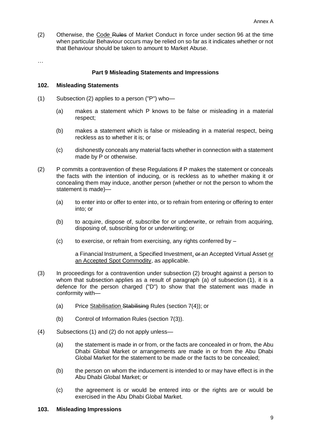(2) Otherwise, the Code Rules of Market Conduct in force under section 96 at the time when particular Behaviour occurs may be relied on so far as it indicates whether or not that Behaviour should be taken to amount to Market Abuse.

…

## **Part 9 Misleading Statements and Impressions**

## **102. Misleading Statements**

- (1) Subsection (2) applies to a person ("P") who—
	- (a) makes a statement which P knows to be false or misleading in a material respect;
	- (b) makes a statement which is false or misleading in a material respect, being reckless as to whether it is; or
	- (c) dishonestly conceals any material facts whether in connection with a statement made by P or otherwise.
- (2) P commits a contravention of these Regulations if P makes the statement or conceals the facts with the intention of inducing, or is reckless as to whether making it or concealing them may induce, another person (whether or not the person to whom the statement is made)—
	- (a) to enter into or offer to enter into, or to refrain from entering or offering to enter into; or
	- (b) to acquire, dispose of, subscribe for or underwrite, or refrain from acquiring, disposing of, subscribing for or underwriting; or
	- (c) to exercise, or refrain from exercising, any rights conferred by –

a Financial Instrument, a Specified Investment,  $\theta$ -an Accepted Virtual Asset or an Accepted Spot Commodity, as applicable.

- (3) In proceedings for a contravention under subsection (2) brought against a person to whom that subsection applies as a result of paragraph (a) of subsection (1), it is a defence for the person charged ("D") to show that the statement was made in conformity with—
	- (a) Price Stabilisation Stabilising Rules (section 7(4)); or
	- (b) Control of Information Rules (section 7(3)).
- (4) Subsections (1) and (2) do not apply unless—
	- (a) the statement is made in or from, or the facts are concealed in or from, the Abu Dhabi Global Market or arrangements are made in or from the Abu Dhabi Global Market for the statement to be made or the facts to be concealed;
	- (b) the person on whom the inducement is intended to or may have effect is in the Abu Dhabi Global Market; or
	- (c) the agreement is or would be entered into or the rights are or would be exercised in the Abu Dhabi Global Market.

#### **103. Misleading Impressions**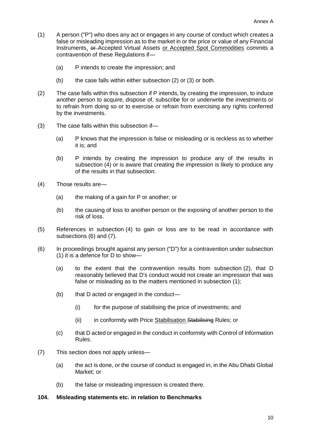- (1) A person ("P") who does any act or engages in any course of conduct which creates a false or misleading impression as to the market in or the price or value of any Financial Instruments, or Accepted Virtual Assets or Accepted Spot Commodities commits a contravention of these Regulations if—
	- (a) P intends to create the impression; and
	- (b) the case falls within either subsection (2) or (3) or both.
- (2) The case falls within this subsection if P intends, by creating the impression, to induce another person to acquire, dispose of, subscribe for or underwrite the investments or to refrain from doing so or to exercise or refrain from exercising any rights conferred by the investments.
- (3) The case falls within this subsection if—
	- (a) P knows that the impression is false or misleading or is reckless as to whether it is; and
	- (b) P intends by creating the impression to produce any of the results in subsection (4) or is aware that creating the impression is likely to produce any of the results in that subsection.
- (4) Those results are—
	- (a) the making of a gain for P or another; or
	- (b) the causing of loss to another person or the exposing of another person to the risk of loss.
- (5) References in subsection (4) to gain or loss are to be read in accordance with subsections (6) and (7).
- (6) In proceedings brought against any person ("D") for a contravention under subsection (1) it is a defence for D to show—
	- (a) to the extent that the contravention results from subsection (2), that D reasonably believed that D's conduct would not create an impression that was false or misleading as to the matters mentioned in subsection (1);
	- (b) that D acted or engaged in the conduct—
		- (i) for the purpose of stabilising the price of investments; and
		- (ii) in conformity with Price Stabilisation Stabilising Rules; or
	- (c) that D acted or engaged in the conduct in conformity with Control of Information Rules.
- (7) This section does not apply unless—
	- (a) the act is done, or the course of conduct is engaged in, in the Abu Dhabi Global Market; or
	- (b) the false or misleading impression is created there.

## **104. Misleading statements etc. in relation to Benchmarks**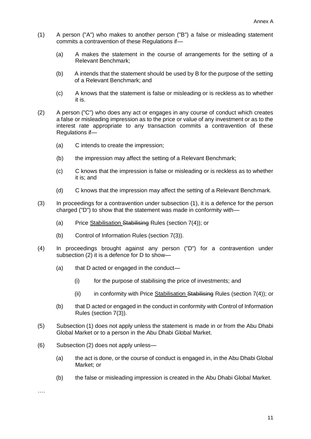- (1) A person ("A") who makes to another person ("B") a false or misleading statement commits a contravention of these Regulations if—
	- (a) A makes the statement in the course of arrangements for the setting of a Relevant Benchmark;
	- (b) A intends that the statement should be used by B for the purpose of the setting of a Relevant Benchmark; and
	- (c) A knows that the statement is false or misleading or is reckless as to whether it is.
- (2) A person ("C") who does any act or engages in any course of conduct which creates a false or misleading impression as to the price or value of any investment or as to the interest rate appropriate to any transaction commits a contravention of these Regulations if—
	- (a) C intends to create the impression;
	- (b) the impression may affect the setting of a Relevant Benchmark;
	- (c) C knows that the impression is false or misleading or is reckless as to whether it is; and
	- (d) C knows that the impression may affect the setting of a Relevant Benchmark.
- (3) In proceedings for a contravention under subsection (1), it is a defence for the person charged ("D") to show that the statement was made in conformity with—
	- (a) Price Stabilisation Stabilising Rules (section 7(4)); or
	- (b) Control of Information Rules (section 7(3)).
- (4) In proceedings brought against any person ("D") for a contravention under subsection (2) it is a defence for D to show—
	- (a) that D acted or engaged in the conduct—
		- (i) for the purpose of stabilising the price of investments; and
		- (ii) in conformity with Price Stabilisation Stabilising Rules (section  $7(4)$ ); or
	- (b) that D acted or engaged in the conduct in conformity with Control of Information Rules (section 7(3)).
- (5) Subsection (1) does not apply unless the statement is made in or from the Abu Dhabi Global Market or to a person in the Abu Dhabi Global Market.
- (6) Subsection (2) does not apply unless—
	- (a) the act is done, or the course of conduct is engaged in, in the Abu Dhabi Global Market; or
	- (b) the false or misleading impression is created in the Abu Dhabi Global Market.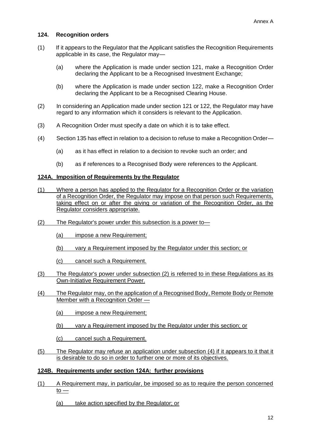## **124. Recognition orders**

- (1) If it appears to the Regulator that the Applicant satisfies the Recognition Requirements applicable in its case, the Regulator may—
	- (a) where the Application is made under section 121, make a Recognition Order declaring the Applicant to be a Recognised Investment Exchange;
	- (b) where the Application is made under section 122, make a Recognition Order declaring the Applicant to be a Recognised Clearing House.
- (2) In considering an Application made under section 121 or 122, the Regulator may have regard to any information which it considers is relevant to the Application.
- (3) A Recognition Order must specify a date on which it is to take effect.
- (4) Section 135 has effect in relation to a decision to refuse to make a Recognition Order—
	- (a) as it has effect in relation to a decision to revoke such an order; and
	- (b) as if references to a Recognised Body were references to the Applicant.

## **124A. Imposition of Requirements by the Regulator**

- (1) Where a person has applied to the Regulator for a Recognition Order or the variation of a Recognition Order, the Regulator may impose on that person such Requirements, taking effect on or after the giving or variation of the Recognition Order, as the Regulator considers appropriate.
- (2) The Regulator's power under this subsection is a power to—
	- (a) impose a new Requirement;
	- (b) vary a Requirement imposed by the Regulator under this section; or
	- (c) cancel such a Requirement.
- (3) The Regulator's power under subsection (2) is referred to in these Regulations as its Own-Initiative Requirement Power.
- (4) The Regulator may, on the application of a Recognised Body, Remote Body or Remote Member with a Recognition Order —
	- (a) impose a new Requirement;
	- (b) vary a Requirement imposed by the Regulator under this section; or
	- (c) cancel such a Requirement.
- (5) The Regulator may refuse an application under subsection (4) if it appears to it that it is desirable to do so in order to further one or more of its objectives.

## **124B. Requirements under section 124A: further provisions**

- (1) A Requirement may, in particular, be imposed so as to require the person concerned to —
	- (a) take action specified by the Regulator; or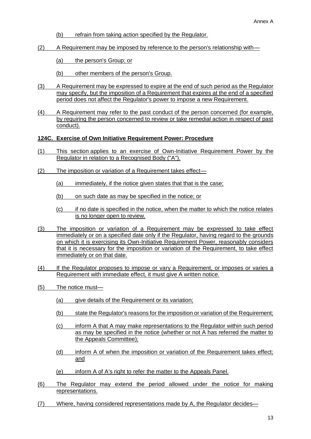- (b) refrain from taking action specified by the Regulator.
- (2) A Requirement may be imposed by reference to the person's relationship with—
	- (a) the person's Group; or
	- (b) other members of the person's Group.
- (3) A Requirement may be expressed to expire at the end of such period as the Regulator may specify, but the imposition of a Requirement that expires at the end of a specified period does not affect the Regulator's power to impose a new Requirement.
- (4) A Requirement may refer to the past conduct of the person concerned (for example, by requiring the person concerned to review or take remedial action in respect of past conduct).

## **124C. Exercise of Own Initiative Requirement Power: Procedure**

- (1) This section applies to an exercise of Own-Initiative Requirement Power by the Regulator in relation to a Recognised Body ("A").
- (2) The imposition or variation of a Requirement takes effect—
	- (a) immediately, if the notice given states that that is the case;
	- (b) on such date as may be specified in the notice; or
	- (c) if no date is specified in the notice, when the matter to which the notice relates is no longer open to review.
- (3) The imposition or variation of a Requirement may be expressed to take effect immediately or on a specified date only if the Regulator, having regard to the grounds on which it is exercising its Own-Initiative Requirement Power, reasonably considers that it is necessary for the imposition or variation of the Requirement, to take effect immediately or on that date.
- (4) If the Regulator proposes to impose or vary a Requirement, or imposes or varies a Requirement with immediate effect, it must give A written notice.
- (5) The notice must—
	- (a) give details of the Requirement or its variation:
	- (b) state the Regulator's reasons for the imposition or variation of the Requirement;
	- (c) inform A that A may make representations to the Regulator within such period as may be specified in the notice (whether or not A has referred the matter to the Appeals Committee);
	- (d) inform A of when the imposition or variation of the Requirement takes effect; and
	- (e) inform A of A's right to refer the matter to the Appeals Panel.
- (6) The Regulator may extend the period allowed under the notice for making representations.
- (7) Where, having considered representations made by A, the Regulator decides—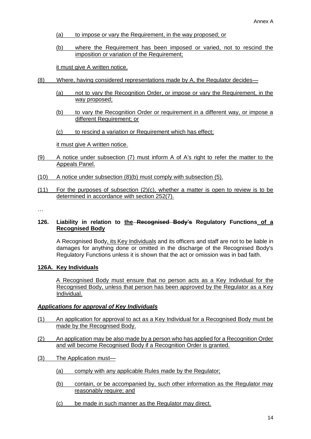- (a) to impose or vary the Requirement, in the way proposed; or
- (b) where the Requirement has been imposed or varied, not to rescind the imposition or variation of the Requirement;

it must give A written notice.

- (8) Where, having considered representations made by A, the Regulator decides—
	- (a) not to vary the Recognition Order, or impose or vary the Requirement, in the way proposed;
	- (b) to vary the Recognition Order or requirement in a different way, or impose a different Requirement; or
	- (c) to rescind a variation or Requirement which has effect;

it must give A written notice.

- (9) A notice under subsection (7) must inform A of A's right to refer the matter to the Appeals Panel.
- (10) A notice under subsection (8)(b) must comply with subsection (5).
- (11) For the purposes of subsection (2)(c), whether a matter is open to review is to be determined in accordance with section 252(7).

…

## **126. Liability in relation to the Recognised Body's Regulatory Functions of a Recognised Body**

A Recognised Body, its Key Individuals and its officers and staff are not to be liable in damages for anything done or omitted in the discharge of the Recognised Body's Regulatory Functions unless it is shown that the act or omission was in bad faith.

## **126A. Key Individuals**

A Recognised Body must ensure that no person acts as a Key Individual for the Recognised Body, unless that person has been approved by the Regulator as a Key Individual.

## *Applications for approval of Key Individuals*

- (1) An application for approval to act as a Key Individual for a Recognised Body must be made by the Recognised Body.
- (2) An application may be also made by a person who has applied for a Recognition Order and will become Recognised Body if a Recognition Order is granted.
- (3) The Application must—
	- (a) comply with any applicable Rules made by the Regulator;
	- (b) contain, or be accompanied by, such other information as the Regulator may reasonably require; and
	- (c) be made in such manner as the Regulator may direct.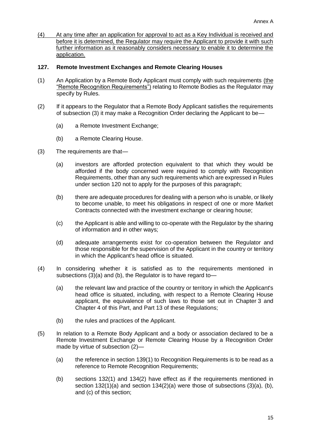(4) At any time after an application for approval to act as a Key Individual is received and before it is determined, the Regulator may require the Applicant to provide it with such further information as it reasonably considers necessary to enable it to determine the application.

## **127. Remote Investment Exchanges and Remote Clearing Houses**

- (1) An Application by a Remote Body Applicant must comply with such requirements (the "Remote Recognition Requirements") relating to Remote Bodies as the Regulator may specify by Rules.
- (2) If it appears to the Regulator that a Remote Body Applicant satisfies the requirements of subsection (3) it may make a Recognition Order declaring the Applicant to be—
	- (a) a Remote Investment Exchange;
	- (b) a Remote Clearing House.
- (3) The requirements are that—
	- (a) investors are afforded protection equivalent to that which they would be afforded if the body concerned were required to comply with Recognition Requirements, other than any such requirements which are expressed in Rules under section 120 not to apply for the purposes of this paragraph;
	- (b) there are adequate procedures for dealing with a person who is unable, or likely to become unable, to meet his obligations in respect of one or more Market Contracts connected with the investment exchange or clearing house;
	- (c) the Applicant is able and willing to co-operate with the Regulator by the sharing of information and in other ways;
	- (d) adequate arrangements exist for co-operation between the Regulator and those responsible for the supervision of the Applicant in the country or territory in which the Applicant's head office is situated.
- (4) In considering whether it is satisfied as to the requirements mentioned in subsections (3)(a) and (b), the Regulator is to have regard to—
	- (a) the relevant law and practice of the country or territory in which the Applicant's head office is situated, including, with respect to a Remote Clearing House applicant, the equivalence of such laws to those set out in Chapter 3 and Chapter 4 of this Part, and Part 13 of these Regulations;
	- (b) the rules and practices of the Applicant.
- (5) In relation to a Remote Body Applicant and a body or association declared to be a Remote Investment Exchange or Remote Clearing House by a Recognition Order made by virtue of subsection (2)—
	- (a) the reference in section 139(1) to Recognition Requirements is to be read as a reference to Remote Recognition Requirements;
	- (b) sections 132(1) and 134(2) have effect as if the requirements mentioned in section 132(1)(a) and section 134(2)(a) were those of subsections (3)(a), (b), and (c) of this section;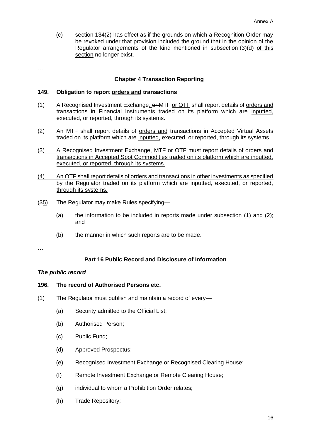(c) section 134(2) has effect as if the grounds on which a Recognition Order may be revoked under that provision included the ground that in the opinion of the Regulator arrangements of the kind mentioned in subsection (3)(d) of this section no longer exist.

…

## **Chapter 4 Transaction Reporting**

#### **149. Obligation to report orders and transactions**

- (1) A Recognised Investment Exchange, or MTF or OTF shall report details of orders and transactions in Financial Instruments traded on its platform which are inputted, executed, or reported, through its systems.
- (2) An MTF shall report details of orders and transactions in Accepted Virtual Assets traded on its platform which are inputted, executed, or reported, through its systems.
- (3) A Recognised Investment Exchange, MTF or OTF must report details of orders and transactions in Accepted Spot Commodities traded on its platform which are inputted, executed, or reported, through its systems.
- (4) An OTF shall report details of orders and transactions in other investments as specified by the Regulator traded on its platform which are inputted, executed, or reported, through its systems.
- (35) The Regulator may make Rules specifying—
	- (a) the information to be included in reports made under subsection (1) and (2); and
	- (b) the manner in which such reports are to be made.

…

## **Part 16 Public Record and Disclosure of Information**

#### *The public record*

# **196. The record of Authorised Persons etc.**

- (1) The Regulator must publish and maintain a record of every—
	- (a) Security admitted to the Official List;
	- (b) Authorised Person;
	- (c) Public Fund;
	- (d) Approved Prospectus;
	- (e) Recognised Investment Exchange or Recognised Clearing House;
	- (f) Remote Investment Exchange or Remote Clearing House;
	- (g) individual to whom a Prohibition Order relates;
	- (h) Trade Repository;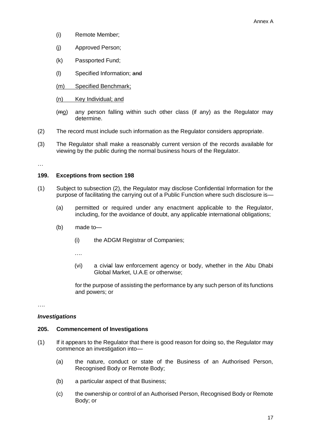- (i) Remote Member;
- (j) Approved Person;
- (k) Passported Fund;
- (l) Specified Information; and
- (m) Specified Benchmark;
- (n) Key Individual; and
- (mo) any person falling within such other class (if any) as the Regulator may determine.
- (2) The record must include such information as the Regulator considers appropriate.
- (3) The Regulator shall make a reasonably current version of the records available for viewing by the public during the normal business hours of the Regulator.

…

## **199. Exceptions from section 198**

- (1) Subject to subsection (2), the Regulator may disclose Confidential Information for the purpose of facilitating the carrying out of a Public Function where such disclosure is—
	- (a) permitted or required under any enactment applicable to the Regulator, including, for the avoidance of doubt, any applicable international obligations;
	- (b) made to—
		- (i) the ADGM Registrar of Companies;

….

(vi) a civial law enforcement agency or body, whether in the Abu Dhabi Global Market, U.A.E or otherwise;

for the purpose of assisting the performance by any such person of its functions and powers; or

….

## *Investigations*

#### **205. Commencement of Investigations**

- (1) If it appears to the Regulator that there is good reason for doing so, the Regulator may commence an investigation into—
	- (a) the nature, conduct or state of the Business of an Authorised Person, Recognised Body or Remote Body;
	- (b) a particular aspect of that Business;
	- (c) the ownership or control of an Authorised Person, Recognised Body or Remote Body; or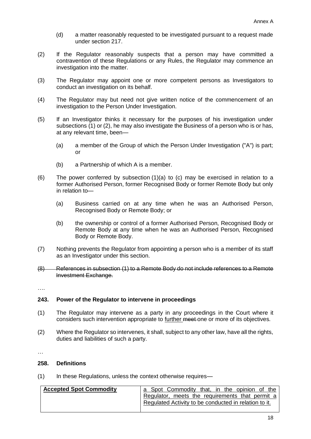- (d) a matter reasonably requested to be investigated pursuant to a request made under section 217.
- (2) If the Regulator reasonably suspects that a person may have committed a contravention of these Regulations or any Rules, the Regulator may commence an investigation into the matter.
- (3) The Regulator may appoint one or more competent persons as Investigators to conduct an investigation on its behalf.
- (4) The Regulator may but need not give written notice of the commencement of an investigation to the Person Under Investigation.
- (5) If an Investigator thinks it necessary for the purposes of his investigation under subsections (1) or (2), he may also investigate the Business of a person who is or has, at any relevant time, been—
	- (a) a member of the Group of which the Person Under Investigation ("A") is part; or
	- (b) a Partnership of which A is a member.
- (6) The power conferred by subsection (1)(a) to (c) may be exercised in relation to a former Authorised Person, former Recognised Body or former Remote Body but only in relation to—
	- (a) Business carried on at any time when he was an Authorised Person, Recognised Body or Remote Body; or
	- (b) the ownership or control of a former Authorised Person, Recognised Body or Remote Body at any time when he was an Authorised Person, Recognised Body or Remote Body.
- (7) Nothing prevents the Regulator from appointing a person who is a member of its staff as an Investigator under this section.
- (8) References in subsection (1) to a Remote Body do not include references to a Remote Investment Exchange.
- ….

## **243. Power of the Regulator to intervene in proceedings**

- (1) The Regulator may intervene as a party in any proceedings in the Court where it considers such intervention appropriate to further meet one or more of its objectives.
- (2) Where the Regulator so intervenes, it shall, subject to any other law, have all the rights, duties and liabilities of such a party.

…

# **258. Definitions**

(1) In these Regulations, unless the context otherwise requires—

| <b>Accepted Spot Commodity</b> | a Spot Commodity that, in the opinion of the          |
|--------------------------------|-------------------------------------------------------|
|                                | Regulator, meets the requirements that permit a       |
|                                | Regulated Activity to be conducted in relation to it. |
|                                |                                                       |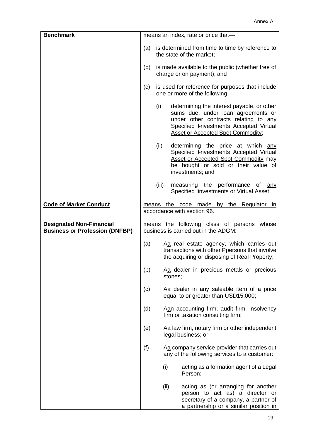| <b>Benchmark</b>                                                         | means an index, rate or price that-                                                                                                                                              |       |                                                                                                                                                                                                                         |  |
|--------------------------------------------------------------------------|----------------------------------------------------------------------------------------------------------------------------------------------------------------------------------|-------|-------------------------------------------------------------------------------------------------------------------------------------------------------------------------------------------------------------------------|--|
|                                                                          | is determined from time to time by reference to<br>(a)<br>the state of the market;                                                                                               |       |                                                                                                                                                                                                                         |  |
|                                                                          | is made available to the public (whether free of<br>(b)<br>charge or on payment); and<br>is used for reference for purposes that include<br>(c)<br>one or more of the following- |       |                                                                                                                                                                                                                         |  |
|                                                                          |                                                                                                                                                                                  |       |                                                                                                                                                                                                                         |  |
|                                                                          |                                                                                                                                                                                  | (i)   | determining the interest payable, or other<br>sums due, under loan agreements or<br>under other contracts relating to any<br><b>Specified linvestments Accepted Virtual</b><br><b>Asset or Accepted Spot Commodity;</b> |  |
|                                                                          |                                                                                                                                                                                  | (ii)  | determining the price at which any<br>Specified linvestments Accepted Virtual<br>Asset or Accepted Spot Commodity may<br>be bought or sold or their value of<br>investments; and                                        |  |
|                                                                          |                                                                                                                                                                                  | (iii) | measuring the performance of any<br>Specified linvestments or Virtual Asset.                                                                                                                                            |  |
| <b>Code of Market Conduct</b>                                            |                                                                                                                                                                                  |       | means the code made by the Regulator in<br>accordance with section 96.                                                                                                                                                  |  |
| <b>Designated Non-Financial</b><br><b>Business or Profession (DNFBP)</b> | means the following class of persons<br>whose<br>business is carried out in the ADGM:                                                                                            |       |                                                                                                                                                                                                                         |  |
|                                                                          | (a)                                                                                                                                                                              |       | Aa real estate agency, which carries out<br>transactions with other Ppersons that involve<br>the acquiring or disposing of Real Property;                                                                               |  |
|                                                                          | (b)                                                                                                                                                                              |       | Aa dealer in precious metals or precious<br>stones;                                                                                                                                                                     |  |
|                                                                          | (c)                                                                                                                                                                              |       | Aa dealer in any saleable item of a price<br>equal to or greater than USD15,000;                                                                                                                                        |  |
|                                                                          | (d)                                                                                                                                                                              |       | Aan accounting firm, audit firm, insolvency<br>firm or taxation consulting firm;                                                                                                                                        |  |
|                                                                          | (e)                                                                                                                                                                              |       | Aa law firm, notary firm or other independent<br>legal business; or                                                                                                                                                     |  |
|                                                                          | (f)                                                                                                                                                                              |       | Aa company service provider that carries out<br>any of the following services to a customer:                                                                                                                            |  |
|                                                                          |                                                                                                                                                                                  |       | (i)<br>acting as a formation agent of a Legal<br>Person;                                                                                                                                                                |  |
|                                                                          |                                                                                                                                                                                  |       | (ii)<br>acting as (or arranging for another<br>person to act as) a director or<br>secretary of a company, a partner of<br>a partnership or a similar position in                                                        |  |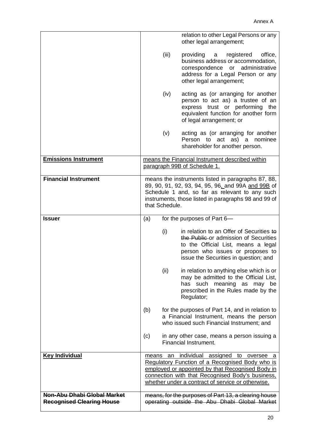|                                                                 |     |                | relation to other Legal Persons or any<br>other legal arrangement;                                                                                                                                                                                        |
|-----------------------------------------------------------------|-----|----------------|-----------------------------------------------------------------------------------------------------------------------------------------------------------------------------------------------------------------------------------------------------------|
|                                                                 |     | (iii)          | providing<br>registered<br>office,<br>a<br>business address or accommodation,<br>correspondence or administrative<br>address for a Legal Person or any<br>other legal arrangement;                                                                        |
|                                                                 |     | (iv)           | acting as (or arranging for another<br>person to act as) a trustee of an<br>express trust or performing the<br>equivalent function for another form<br>of legal arrangement; or                                                                           |
|                                                                 |     | (v)            | acting as (or arranging for another<br>Person to act as) a<br>nominee<br>shareholder for another person.                                                                                                                                                  |
| <b>Emissions Instrument</b>                                     |     |                | means the Financial Instrument described within<br>paragraph 99B of Schedule 1.                                                                                                                                                                           |
| <b>Financial Instrument</b>                                     |     | that Schedule. | means the instruments listed in paragraphs 87, 88,<br>89, 90, 91, 92, 93, 94, 95, 96, and 99A and 99B of<br>Schedule 1 and, so far as relevant to any such<br>instruments, those listed in paragraphs 98 and 99 of                                        |
| <b>Issuer</b>                                                   | (a) |                | for the purposes of Part 6-                                                                                                                                                                                                                               |
|                                                                 |     | (i)            | in relation to an Offer of Securities to<br>the Public or admission of Securities<br>to the Official List, means a legal<br>person who issues or proposes to<br>issue the Securities in question; and                                                     |
|                                                                 |     | (ii)           | in relation to anything else which is or<br>may be admitted to the Official List,<br>has such meaning as may<br>be<br>prescribed in the Rules made by the<br>Regulator;                                                                                   |
|                                                                 | (b) |                | for the purposes of Part 14, and in relation to<br>a Financial Instrument, means the person<br>who issued such Financial Instrument; and                                                                                                                  |
|                                                                 | (c) |                | in any other case, means a person issuing a<br>Financial Instrument.                                                                                                                                                                                      |
| <b>Key Individual</b>                                           |     |                | means an individual assigned to oversee a<br>Regulatory Function of a Recognised Body who is<br>employed or appointed by that Recognised Body in<br>connection with that Recognised Body's business,<br>whether under a contract of service or otherwise. |
| Non-Abu Dhabi Global Market<br><b>Recognised Clearing House</b> |     |                | means, for the purposes of Part 13, a clearing house<br>operating outside the Abu Dhabi Global Market                                                                                                                                                     |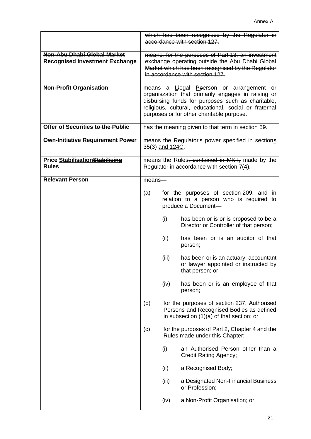|                                                                      | which has been recognised by the Regulator in<br>accordance with section 127.                                                                                                                |                 |                                                                                                                                                                                                                                                           |
|----------------------------------------------------------------------|----------------------------------------------------------------------------------------------------------------------------------------------------------------------------------------------|-----------------|-----------------------------------------------------------------------------------------------------------------------------------------------------------------------------------------------------------------------------------------------------------|
| Non-Abu Dhabi Global Market<br><b>Recognised Investment Exchange</b> | means, for the purposes of Part 13, an investment<br>exchange operating outside the Abu Dhabi Global<br>Market which has been recognised by the Regulator<br>in accordance with section 127. |                 |                                                                                                                                                                                                                                                           |
| <b>Non-Profit Organisation</b>                                       |                                                                                                                                                                                              |                 | means a Llegal Peerson or arrangement or<br>organiszation that primarily engages in raising or<br>disbursing funds for purposes such as charitable,<br>religious, cultural, educational, social or fraternal<br>purposes or for other charitable purpose. |
| Offer of Securities to the Public                                    | has the meaning given to that term in section 59.                                                                                                                                            |                 |                                                                                                                                                                                                                                                           |
| <b>Own-Initiative Requirement Power</b>                              |                                                                                                                                                                                              | 35(3) and 124C. | means the Regulator's power specified in sections                                                                                                                                                                                                         |
| <b>Price StabilisationStabilising</b><br><b>Rules</b>                |                                                                                                                                                                                              |                 | means the Rules, contained in MKT, made by the<br>Regulator in accordance with section 7(4).                                                                                                                                                              |
| <b>Relevant Person</b>                                               | means-                                                                                                                                                                                       |                 |                                                                                                                                                                                                                                                           |
|                                                                      | (a)                                                                                                                                                                                          |                 | for the purposes of section 209, and in<br>relation to a person who is required to<br>produce a Document-                                                                                                                                                 |
|                                                                      |                                                                                                                                                                                              | (i)             | has been or is or is proposed to be a<br>Director or Controller of that person;                                                                                                                                                                           |
|                                                                      |                                                                                                                                                                                              | (ii)            | has been or is an auditor of that<br>person;                                                                                                                                                                                                              |
|                                                                      |                                                                                                                                                                                              | (iii)           | has been or is an actuary, accountant<br>or lawyer appointed or instructed by<br>that person; or                                                                                                                                                          |
|                                                                      |                                                                                                                                                                                              | (iv)            | has been or is an employee of that<br>person;                                                                                                                                                                                                             |
|                                                                      | (b)                                                                                                                                                                                          |                 | for the purposes of section 237, Authorised<br>Persons and Recognised Bodies as defined<br>in subsection $(1)(a)$ of that section; or                                                                                                                     |
|                                                                      | (c)                                                                                                                                                                                          |                 | for the purposes of Part 2, Chapter 4 and the<br>Rules made under this Chapter:                                                                                                                                                                           |
|                                                                      |                                                                                                                                                                                              | (i)             | an Authorised Person other than a<br><b>Credit Rating Agency;</b>                                                                                                                                                                                         |
|                                                                      |                                                                                                                                                                                              | (ii)            | a Recognised Body;                                                                                                                                                                                                                                        |
|                                                                      |                                                                                                                                                                                              | (iii)           | a Designated Non-Financial Business<br>or Profession;                                                                                                                                                                                                     |
|                                                                      |                                                                                                                                                                                              | (iv)            | a Non-Profit Organisation; or                                                                                                                                                                                                                             |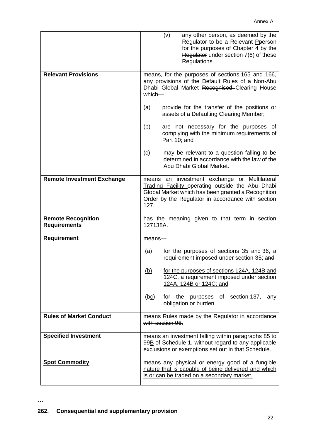|                                                  | (v)<br>any other person, as deemed by the<br>Regulator to be a Relevant Pperson<br>for the purposes of Chapter 4 by the<br>Regulator under section 7(6) of these<br>Regulations.                                    |
|--------------------------------------------------|---------------------------------------------------------------------------------------------------------------------------------------------------------------------------------------------------------------------|
| <b>Relevant Provisions</b>                       | means, for the purposes of sections 165 and 166,<br>any provisions of the Default Rules of a Non-Abu<br>Dhabi Global Market Recognised Clearing House<br>which-                                                     |
|                                                  | provide for the transfer of the positions or<br>(a)<br>assets of a Defaulting Clearing Member;                                                                                                                      |
|                                                  | (b)<br>are not necessary for the purposes of<br>complying with the minimum requirements of<br>Part 10; and                                                                                                          |
|                                                  | (c)<br>may be relevant to a question falling to be<br>determined in accordance with the law of the<br>Abu Dhabi Global Market.                                                                                      |
| <b>Remote Investment Exchange</b>                | means an investment exchange or Multilateral<br>Trading Facility operating outside the Abu Dhabi<br>Global Market which has been granted a Recognition<br>Order by the Regulator in accordance with section<br>127. |
| <b>Remote Recognition</b><br><b>Requirements</b> | has the meaning given to that term in section<br>127138A.                                                                                                                                                           |
| <b>Requirement</b>                               | means-                                                                                                                                                                                                              |
|                                                  | for the purposes of sections 35 and 36, a<br>(a)<br>requirement imposed under section 35; and                                                                                                                       |
|                                                  | for the purposes of sections 124A, 124B and<br><u>(b)</u><br>124C, a requirement imposed under section<br>124A, 124B or 124C; and                                                                                   |
|                                                  | for the purposes of section 137,<br>(bc)<br>any<br>obligation or burden.                                                                                                                                            |
| <b>Rules of Market Conduct</b>                   | means Rules made by the Regulator in accordance<br>with section 96.                                                                                                                                                 |
| <b>Specified Investment</b>                      | means an investment falling within paragraphs 85 to<br>99B of Schedule 1, without regard to any applicable<br>exclusions or exemptions set out in that Schedule.                                                    |
| <b>Spot Commodity</b>                            | means any physical or energy good of a fungible<br>nature that is capable of being delivered and which<br>is or can be traded on a secondary market.                                                                |

…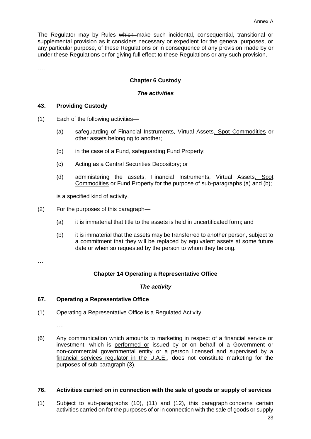The Regulator may by Rules which make such incidental, consequential, transitional or supplemental provision as it considers necessary or expedient for the general purposes, or any particular purpose, of these Regulations or in consequence of any provision made by or under these Regulations or for giving full effect to these Regulations or any such provision.

….

# **Chapter 6 Custody**

## *The activities*

## **43. Providing Custody**

- (1) Each of the following activities—
	- (a) safeguarding of Financial Instruments, Virtual Assets, Spot Commodities or other assets belonging to another;
	- (b) in the case of a Fund, safeguarding Fund Property;
	- (c) Acting as a Central Securities Depository; or
	- (d) administering the assets, Financial Instruments, Virtual Assets, Spot Commodities or Fund Property for the purpose of sub-paragraphs (a) and (b);

is a specified kind of activity.

- (2) For the purposes of this paragraph—
	- (a) it is immaterial that title to the assets is held in uncertificated form; and
	- (b) it is immaterial that the assets may be transferred to another person, subject to a commitment that they will be replaced by equivalent assets at some future date or when so requested by the person to whom they belong.

…

## **Chapter 14 Operating a Representative Office**

## *The activity*

## **67. Operating a Representative Office**

(1) Operating a Representative Office is a Regulated Activity.

….

(6) Any communication which amounts to marketing in respect of a financial service or investment, which is performed or issued by or on behalf of a Government or non-commercial governmental entity or a person licensed and supervised by a financial services regulator in the U.A.E., does not constitute marketing for the purposes of sub-paragraph (3).

…

#### **76. Activities carried on in connection with the sale of goods or supply of services**

(1) Subject to sub-paragraphs (10), (11) and (12), this paragraph concerns certain activities carried on for the purposes of or in connection with the sale of goods or supply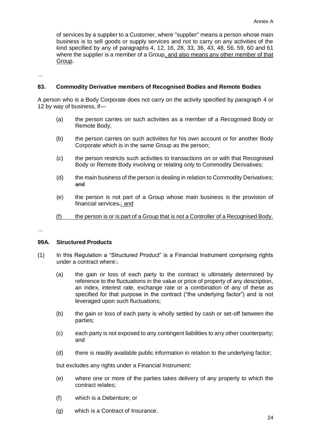of services by a supplier to a Customer, where "supplier" means a person whose main business is to sell goods or supply services and not to carry on any activities of the kind specified by any of paragraphs 4, 12, 16, 28, 33, 36, 43, 48, 56, 59, 60 and 61 where the supplier is a member of a Group, and also means any other member of that Group.

…

## **83. Commodity Derivative members of Recognised Bodies and Remote Bodies**

A person who is a Body Corporate does not carry on the activity specified by paragraph 4 or 12 by way of business, if—

- (a) the person carries on such activities as a member of a Recognised Body or Remote Body;
- (b) the person carries on such activities for his own account or for another Body Corporate which is in the same Group as the person;
- (c) the person restricts such activities to transactions on or with that Recognised Body or Remote Body involving or relating only to Commodity Derivatives;
- (d) the main business of the person is dealing in relation to Commodity Derivatives; and
- (e) the person is not part of a Group whose main business is the provision of financial services.; and
- (f) the person is or is part of a Group that is not a Controller of a Recognised Body.

…

## **99A. Structured Products**

- (1) In this Regulation a "Structured Product" is a Financial Instrument comprising rights under a contract where:.
	- (a) the gain or loss of each party to the contract is ultimately determined by reference to the fluctuations in the value or price of property of any description, an index, interest rate, exchange rate or a combination of any of these as specified for that purpose in the contract ("the underlying factor") and is not leveraged upon such fluctuations;
	- (b) the gain or loss of each party is wholly settled by cash or set-off between the parties;
	- (c) each party is not exposed to any contingent liabilities to any other counterparty; and
	- (d) there is readily available public information in relation to the underlying factor;

but excludes any rights under a Financial Instrument:

- (e) where one or more of the parties takes delivery of any property to which the contract relates;
- (f) which is a Debenture; or
- (g) which is a Contract of Insurance.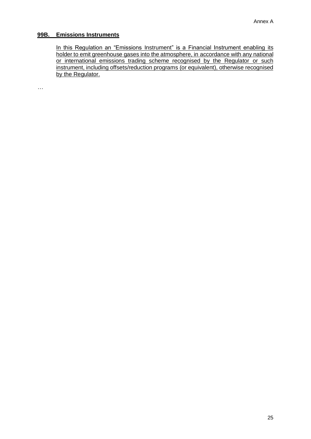## **99B. Emissions Instruments**

In this Regulation an "Emissions Instrument" is a Financial Instrument enabling its holder to emit greenhouse gases into the atmosphere, in accordance with any national or international emissions trading scheme recognised by the Regulator or such instrument, including offsets/reduction programs (or equivalent), otherwise recognised by the Regulator.

…